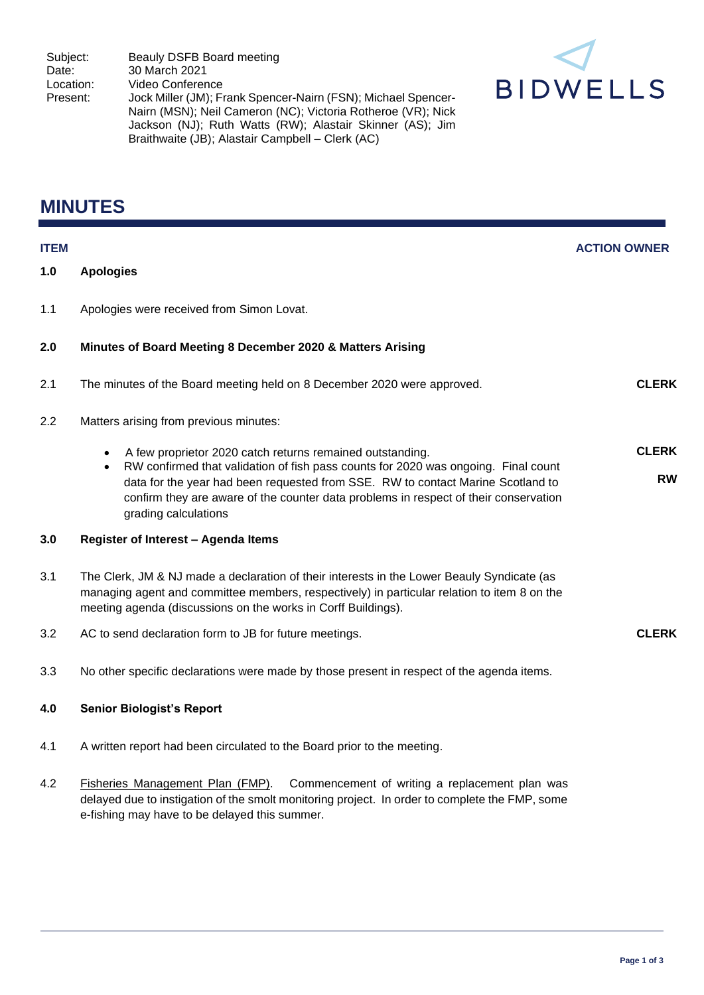

# **MINUTES**

| <b>ITEM</b> |                                                                                                                                                                                                                                                                                                    | <b>ACTION OWNER</b> |
|-------------|----------------------------------------------------------------------------------------------------------------------------------------------------------------------------------------------------------------------------------------------------------------------------------------------------|---------------------|
| 1.0         | <b>Apologies</b>                                                                                                                                                                                                                                                                                   |                     |
| 1.1         | Apologies were received from Simon Lovat.                                                                                                                                                                                                                                                          |                     |
| 2.0         | Minutes of Board Meeting 8 December 2020 & Matters Arising                                                                                                                                                                                                                                         |                     |
| 2.1         | The minutes of the Board meeting held on 8 December 2020 were approved.                                                                                                                                                                                                                            | <b>CLERK</b>        |
| 2.2         | Matters arising from previous minutes:                                                                                                                                                                                                                                                             |                     |
|             | A few proprietor 2020 catch returns remained outstanding.<br>$\bullet$                                                                                                                                                                                                                             | <b>CLERK</b>        |
|             | RW confirmed that validation of fish pass counts for 2020 was ongoing. Final count<br>$\bullet$<br>data for the year had been requested from SSE. RW to contact Marine Scotland to<br>confirm they are aware of the counter data problems in respect of their conservation<br>grading calculations | <b>RW</b>           |
| 3.0         | Register of Interest - Agenda Items                                                                                                                                                                                                                                                                |                     |
| 3.1         | The Clerk, JM & NJ made a declaration of their interests in the Lower Beauly Syndicate (as<br>managing agent and committee members, respectively) in particular relation to item 8 on the<br>meeting agenda (discussions on the works in Corff Buildings).                                         |                     |
| 3.2         | AC to send declaration form to JB for future meetings.                                                                                                                                                                                                                                             | <b>CLERK</b>        |
| 3.3         | No other specific declarations were made by those present in respect of the agenda items.                                                                                                                                                                                                          |                     |
| 4.0         | <b>Senior Biologist's Report</b>                                                                                                                                                                                                                                                                   |                     |
| 4.1         | A written report had been circulated to the Board prior to the meeting.                                                                                                                                                                                                                            |                     |
| 4.2         | Fisheries Management Plan (FMP).<br>Commencement of writing a replacement plan was<br>delayed due to instigation of the smolt monitoring project. In order to complete the FMP, some<br>e-fishing may have to be delayed this summer.                                                              |                     |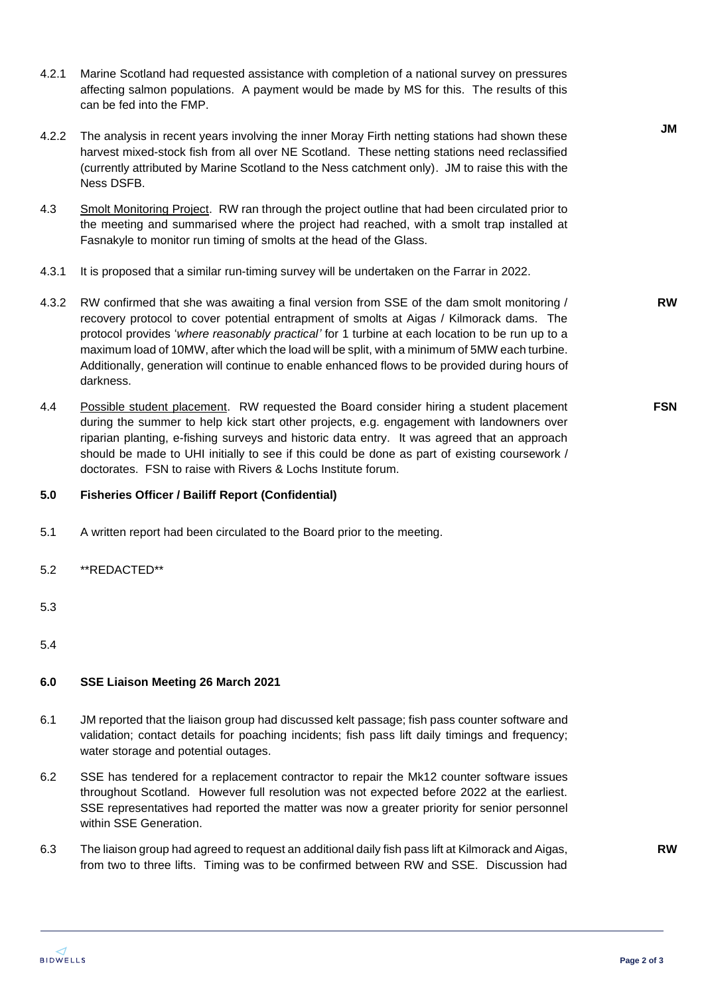- 4.2.1 Marine Scotland had requested assistance with completion of a national survey on pressures affecting salmon populations. A payment would be made by MS for this. The results of this can be fed into the FMP.
- 4.2.2 The analysis in recent years involving the inner Moray Firth netting stations had shown these harvest mixed-stock fish from all over NE Scotland. These netting stations need reclassified (currently attributed by Marine Scotland to the Ness catchment only). JM to raise this with the Ness DSFB.
- 4.3 Smolt Monitoring Project. RW ran through the project outline that had been circulated prior to the meeting and summarised where the project had reached, with a smolt trap installed at Fasnakyle to monitor run timing of smolts at the head of the Glass.
- 4.3.1 It is proposed that a similar run-timing survey will be undertaken on the Farrar in 2022.
- 4.3.2 RW confirmed that she was awaiting a final version from SSE of the dam smolt monitoring / recovery protocol to cover potential entrapment of smolts at Aigas / Kilmorack dams. The protocol provides '*where reasonably practical'* for 1 turbine at each location to be run up to a maximum load of 10MW, after which the load will be split, with a minimum of 5MW each turbine. Additionally, generation will continue to enable enhanced flows to be provided during hours of darkness.
- 4.4 Possible student placement. RW requested the Board consider hiring a student placement during the summer to help kick start other projects, e.g. engagement with landowners over riparian planting, e-fishing surveys and historic data entry. It was agreed that an approach should be made to UHI initially to see if this could be done as part of existing coursework / doctorates. FSN to raise with Rivers & Lochs Institute forum.

### **5.0 Fisheries Officer / Bailiff Report (Confidential)**

- 5.1 A written report had been circulated to the Board prior to the meeting.
- 5.2 \*\*REDACTED\*\*
- 5.3
- 5.4

#### **6.0 SSE Liaison Meeting 26 March 2021**

- 6.1 JM reported that the liaison group had discussed kelt passage; fish pass counter software and validation; contact details for poaching incidents; fish pass lift daily timings and frequency; water storage and potential outages.
- 6.2 SSE has tendered for a replacement contractor to repair the Mk12 counter software issues throughout Scotland. However full resolution was not expected before 2022 at the earliest. SSE representatives had reported the matter was now a greater priority for senior personnel within SSE Generation.
- 6.3 The liaison group had agreed to request an additional daily fish pass lift at Kilmorack and Aigas, from two to three lifts. Timing was to be confirmed between RW and SSE. Discussion had

**RW**

**FSN**

**RW**

**JM**